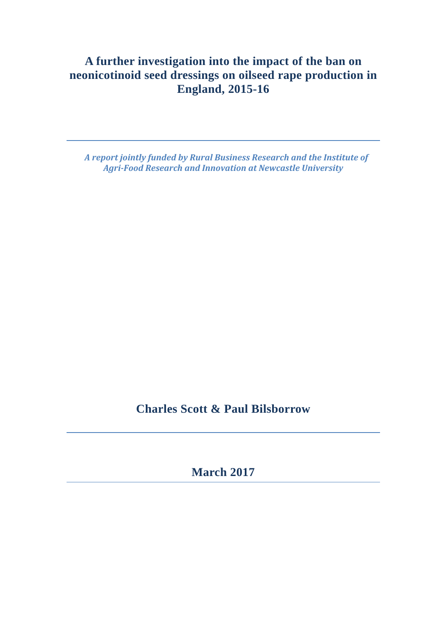# **A further investigation into the impact of the ban on neonicotinoid seed dressings on oilseed rape production in England, 2015-16**

 *A report jointly funded by Rural Business Research and the Institute of Agri‐Food Research and Innovation at Newcastle University*

**Charles Scott & Paul Bilsborrow** 

**March 2017**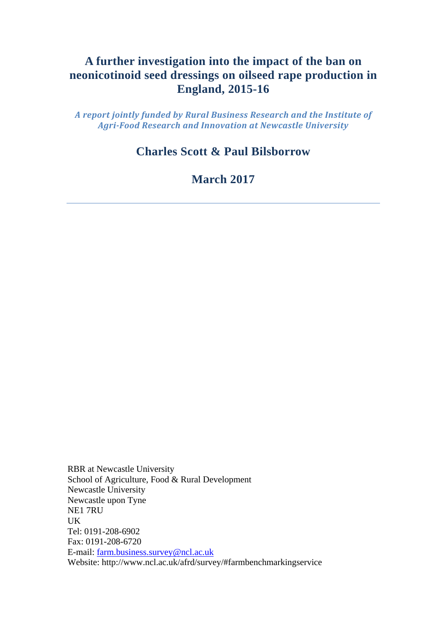# **A further investigation into the impact of the ban on neonicotinoid seed dressings on oilseed rape production in England, 2015-16**

*A report jointly funded by Rural Business Research and the Institute of Agri‐Food Research and Innovation at Newcastle University*

# **Charles Scott & Paul Bilsborrow**

**March 2017** 

RBR at Newcastle University School of Agriculture, Food & Rural Development Newcastle University Newcastle upon Tyne NE1 7RU UK Tel: 0191-208-6902 Fax: 0191-208-6720 E-mail: farm.business.survey@ncl.ac.uk Website: http://www.ncl.ac.uk/afrd/survey/#farmbenchmarkingservice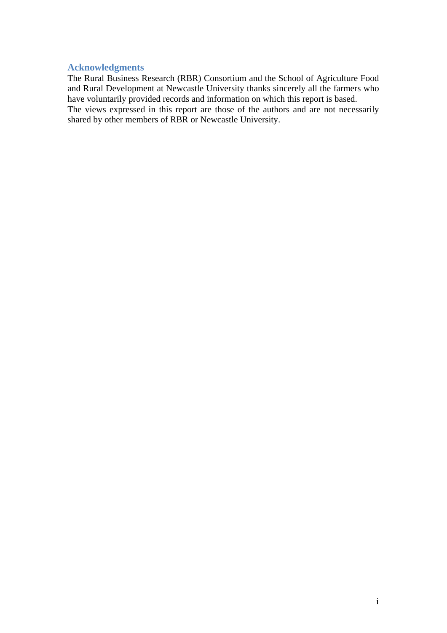## **Acknowledgments**

The Rural Business Research (RBR) Consortium and the School of Agriculture Food and Rural Development at Newcastle University thanks sincerely all the farmers who have voluntarily provided records and information on which this report is based. The views expressed in this report are those of the authors and are not necessarily shared by other members of RBR or Newcastle University.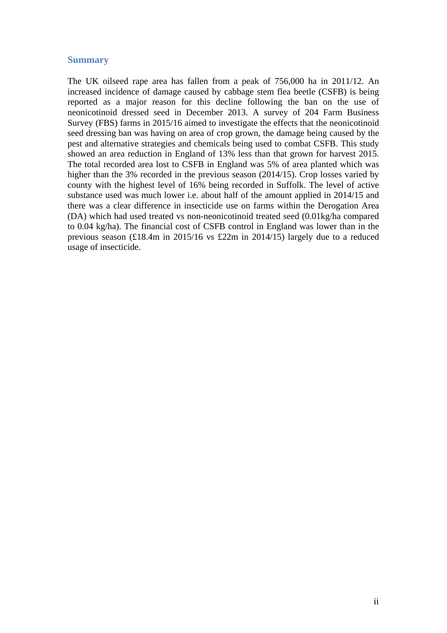#### **Summary**

The UK oilseed rape area has fallen from a peak of 756,000 ha in 2011/12. An increased incidence of damage caused by cabbage stem flea beetle (CSFB) is being reported as a major reason for this decline following the ban on the use of neonicotinoid dressed seed in December 2013. A survey of 204 Farm Business Survey (FBS) farms in 2015/16 aimed to investigate the effects that the neonicotinoid seed dressing ban was having on area of crop grown, the damage being caused by the pest and alternative strategies and chemicals being used to combat CSFB. This study showed an area reduction in England of 13% less than that grown for harvest 2015. The total recorded area lost to CSFB in England was 5% of area planted which was higher than the 3% recorded in the previous season (2014/15). Crop losses varied by county with the highest level of 16% being recorded in Suffolk. The level of active substance used was much lower i.e. about half of the amount applied in 2014/15 and there was a clear difference in insecticide use on farms within the Derogation Area (DA) which had used treated vs non-neonicotinoid treated seed (0.01kg/ha compared to 0.04 kg/ha). The financial cost of CSFB control in England was lower than in the previous season (£18.4m in 2015/16 vs £22m in 2014/15) largely due to a reduced usage of insecticide.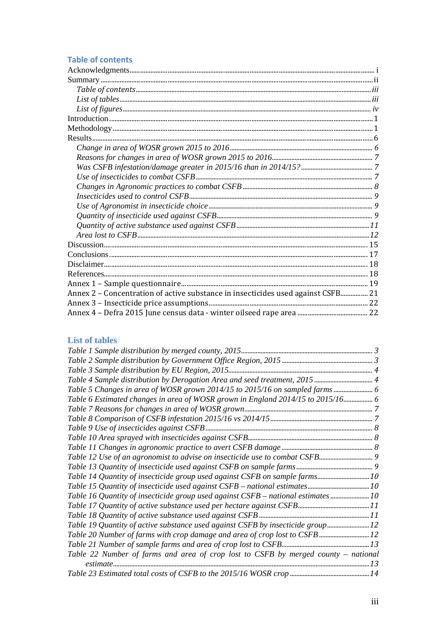## **Table of contents**

| Annex 2 – Concentration of active substance in insecticides used against CSFB 21 |  |
|----------------------------------------------------------------------------------|--|
|                                                                                  |  |
|                                                                                  |  |

#### **List of tables**

| Table 4 Sample distribution by Derogation Area and seed treatment, 2015 4          |  |
|------------------------------------------------------------------------------------|--|
| Table 5 Changes in area of WOSR grown 2014/15 to 2015/16 on sampled farms  6       |  |
| Table 6 Estimated changes in area of WOSR grown in England 2014/15 to 2015/16 6    |  |
|                                                                                    |  |
|                                                                                    |  |
|                                                                                    |  |
|                                                                                    |  |
|                                                                                    |  |
|                                                                                    |  |
|                                                                                    |  |
|                                                                                    |  |
|                                                                                    |  |
| Table 16 Quantity of insecticide group used against CSFB - national estimates 10   |  |
|                                                                                    |  |
|                                                                                    |  |
| Table 19 Quantity of active substance used against CSFB by insecticide group 12    |  |
|                                                                                    |  |
|                                                                                    |  |
| Table 22 Number of farms and area of crop lost to CSFB by merged county – national |  |
|                                                                                    |  |
|                                                                                    |  |
|                                                                                    |  |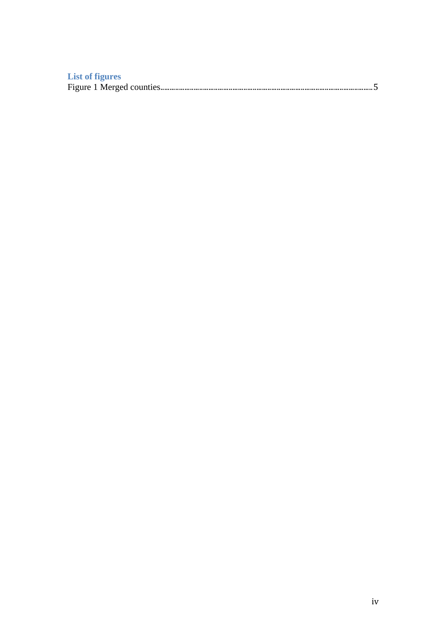| <b>List of figures</b> |  |
|------------------------|--|
|                        |  |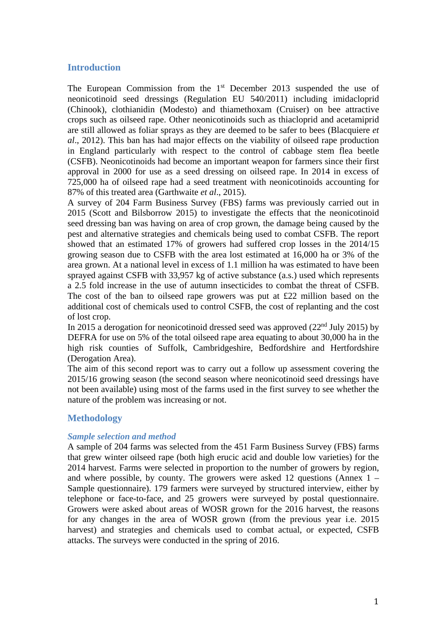## **Introduction**

The European Commission from the 1<sup>st</sup> December 2013 suspended the use of neonicotinoid seed dressings (Regulation EU 540/2011) including imidacloprid (Chinook), clothianidin (Modesto) and thiamethoxam (Cruiser) on bee attractive crops such as oilseed rape. Other neonicotinoids such as thiacloprid and acetamiprid are still allowed as foliar sprays as they are deemed to be safer to bees (Blacquiere *et al*., 2012). This ban has had major effects on the viability of oilseed rape production in England particularly with respect to the control of cabbage stem flea beetle (CSFB). Neonicotinoids had become an important weapon for farmers since their first approval in 2000 for use as a seed dressing on oilseed rape. In 2014 in excess of 725,000 ha of oilseed rape had a seed treatment with neonicotinoids accounting for 87% of this treated area (Garthwaite *et al*., 2015).

A survey of 204 Farm Business Survey (FBS) farms was previously carried out in 2015 (Scott and Bilsborrow 2015) to investigate the effects that the neonicotinoid seed dressing ban was having on area of crop grown, the damage being caused by the pest and alternative strategies and chemicals being used to combat CSFB. The report showed that an estimated 17% of growers had suffered crop losses in the 2014/15 growing season due to CSFB with the area lost estimated at 16,000 ha or 3% of the area grown. At a national level in excess of 1.1 million ha was estimated to have been sprayed against CSFB with 33,957 kg of active substance (a.s.) used which represents a 2.5 fold increase in the use of autumn insecticides to combat the threat of CSFB. The cost of the ban to oilseed rape growers was put at £22 million based on the additional cost of chemicals used to control CSFB, the cost of replanting and the cost of lost crop.

In 2015 a derogation for neonicotinoid dressed seed was approved  $(22<sup>nd</sup>$  July 2015) by DEFRA for use on 5% of the total oilseed rape area equating to about 30,000 ha in the high risk counties of Suffolk, Cambridgeshire, Bedfordshire and Hertfordshire (Derogation Area).

The aim of this second report was to carry out a follow up assessment covering the 2015/16 growing season (the second season where neonicotinoid seed dressings have not been available) using most of the farms used in the first survey to see whether the nature of the problem was increasing or not.

## **Methodology**

#### *Sample selection and method*

A sample of 204 farms was selected from the 451 Farm Business Survey (FBS) farms that grew winter oilseed rape (both high erucic acid and double low varieties) for the 2014 harvest. Farms were selected in proportion to the number of growers by region, and where possible, by county. The growers were asked 12 questions (Annex  $1 -$ Sample questionnaire). 179 farmers were surveyed by structured interview, either by telephone or face-to-face, and 25 growers were surveyed by postal questionnaire. Growers were asked about areas of WOSR grown for the 2016 harvest, the reasons for any changes in the area of WOSR grown (from the previous year i.e. 2015 harvest) and strategies and chemicals used to combat actual, or expected, CSFB attacks. The surveys were conducted in the spring of 2016.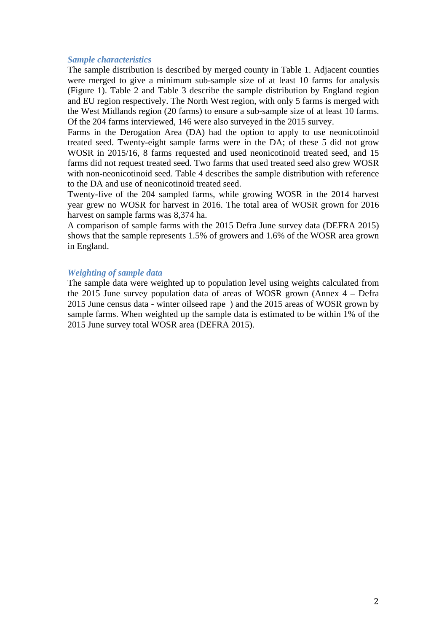#### *Sample characteristics*

The sample distribution is described by merged county in Table 1. Adjacent counties were merged to give a minimum sub-sample size of at least 10 farms for analysis (Figure 1). Table 2 and Table 3 describe the sample distribution by England region and EU region respectively. The North West region, with only 5 farms is merged with the West Midlands region (20 farms) to ensure a sub-sample size of at least 10 farms. Of the 204 farms interviewed, 146 were also surveyed in the 2015 survey.

Farms in the Derogation Area (DA) had the option to apply to use neonicotinoid treated seed. Twenty-eight sample farms were in the DA; of these 5 did not grow WOSR in 2015/16, 8 farms requested and used neonicotinoid treated seed, and 15 farms did not request treated seed. Two farms that used treated seed also grew WOSR with non-neonicotinoid seed. Table 4 describes the sample distribution with reference to the DA and use of neonicotinoid treated seed.

Twenty-five of the 204 sampled farms, while growing WOSR in the 2014 harvest year grew no WOSR for harvest in 2016. The total area of WOSR grown for 2016 harvest on sample farms was 8,374 ha.

A comparison of sample farms with the 2015 Defra June survey data (DEFRA 2015) shows that the sample represents 1.5% of growers and 1.6% of the WOSR area grown in England.

#### *Weighting of sample data*

The sample data were weighted up to population level using weights calculated from the 2015 June survey population data of areas of WOSR grown (Annex 4 – Defra 2015 June census data - winter oilseed rape ) and the 2015 areas of WOSR grown by sample farms. When weighted up the sample data is estimated to be within 1% of the 2015 June survey total WOSR area (DEFRA 2015).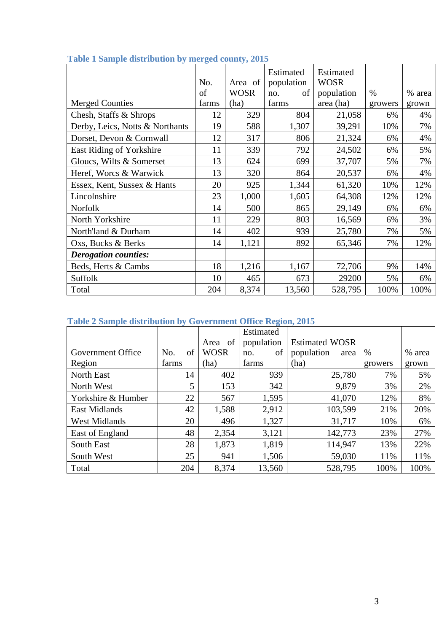|                                 | No.   | Area of     | Estimated<br>population | Estimated<br><b>WOSR</b> |         |        |
|---------------------------------|-------|-------------|-------------------------|--------------------------|---------|--------|
|                                 | of    | <b>WOSR</b> | οf<br>no.               | population               | $\%$    | % area |
| <b>Merged Counties</b>          | farms | (ha)        | farms                   | area (ha)                | growers | grown  |
| Chesh, Staffs & Shrops          | 12    | 329         | 804                     | 21,058                   | 6%      | 4%     |
| Derby, Leics, Notts & Northants | 19    | 588         | 1,307                   | 39,291                   | 10%     | 7%     |
| Dorset, Devon & Cornwall        | 12    | 317         | 806                     | 21,324                   | 6%      | 4%     |
| East Riding of Yorkshire        | 11    | 339         | 792                     | 24,502                   | 6%      | 5%     |
| Gloucs, Wilts & Somerset        | 13    | 624         | 699                     | 37,707                   | 5%      | 7%     |
| Heref, Worcs & Warwick          | 13    | 320         | 864                     | 20,537                   | 6%      | 4%     |
| Essex, Kent, Sussex & Hants     | 20    | 925         | 1,344                   | 61,320                   | 10%     | 12%    |
| Lincolnshire                    | 23    | 1,000       | 1,605                   | 64,308                   | 12%     | 12%    |
| Norfolk                         | 14    | 500         | 865                     | 29,149                   | 6%      | 6%     |
| North Yorkshire                 | 11    | 229         | 803                     | 16,569                   | 6%      | 3%     |
| North'land & Durham             | 14    | 402         | 939                     | 25,780                   | 7%      | 5%     |
| Oxs, Bucks & Berks              | 14    | 1,121       | 892                     | 65,346                   | 7%      | 12%    |
| <b>Derogation counties:</b>     |       |             |                         |                          |         |        |
| Beds, Herts & Cambs             | 18    | 1,216       | 1,167                   | 72,706                   | 9%      | 14%    |
| Suffolk                         | 10    | 465         | 673                     | 29200                    | 5%      | 6%     |
| Total                           | 204   | 8,374       | 13,560                  | 528,795                  | 100%    | 100%   |

## **Table 1 Sample distribution by merged county, 2015**

## **Table 2 Sample distribution by Government Office Region, 2015**

|                      |           |             | Estimated  |                       |         |        |
|----------------------|-----------|-------------|------------|-----------------------|---------|--------|
|                      |           | Area of     | population | <b>Estimated WOSR</b> |         |        |
| Government Office    | of<br>No. | <b>WOSR</b> | of<br>no.  | population<br>area    | $\%$    | % area |
| Region               | farms     | (ha)        | farms      | (ha)                  | growers | grown  |
| <b>North East</b>    | 14        | 402         | 939        | 25,780                | 7%      | 5%     |
| North West           | 5         | 153         | 342        | 9,879                 | 3%      | 2%     |
| Yorkshire & Humber   | 22        | 567         | 1,595      | 41,070                | 12%     | 8%     |
| <b>East Midlands</b> | 42        | 1,588       | 2,912      | 103,599               | 21%     | 20%    |
| <b>West Midlands</b> | 20        | 496         | 1,327      | 31,717                | 10%     | 6%     |
| East of England      | 48        | 2,354       | 3,121      | 142,773               | 23%     | 27%    |
| South East           | 28        | 1,873       | 1,819      | 114,947               | 13%     | 22%    |
| South West           | 25        | 941         | 1,506      | 59,030                | 11%     | 11%    |
| Total                | 204       | 8,374       | 13,560     | 528,795               | 100%    | 100%   |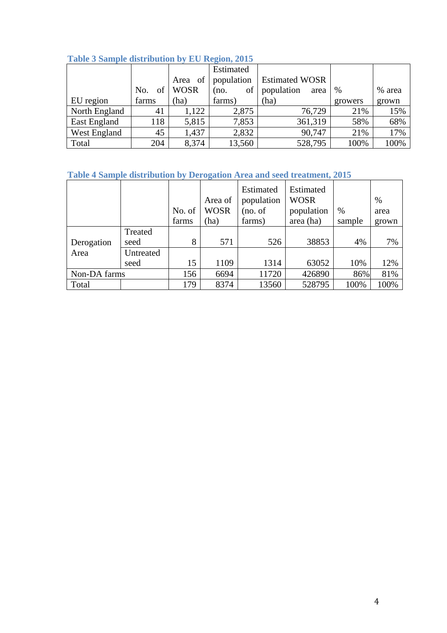| <b>Lable 5 Ballipic distribution by EC Keglul, 2015</b> |           |             |            |                       |         |        |  |  |  |  |  |
|---------------------------------------------------------|-----------|-------------|------------|-----------------------|---------|--------|--|--|--|--|--|
|                                                         |           |             | Estimated  |                       |         |        |  |  |  |  |  |
|                                                         |           | Area of     | population | <b>Estimated WOSR</b> |         |        |  |  |  |  |  |
|                                                         | of<br>No. | <b>WOSR</b> | of<br>(no. | population<br>area    | $\%$    | % area |  |  |  |  |  |
| EU region                                               | farms     | (ha)        | farms)     | (ha)                  | growers | grown  |  |  |  |  |  |
| North England                                           | 41        | 1,122       | 2,875      | 76,729                | 21%     | 15%    |  |  |  |  |  |
| East England                                            | 118       | 5,815       | 7,853      | 361,319               | 58%     | 68%    |  |  |  |  |  |
| West England                                            | 45        | 1,437       | 2,832      | 90,747                | 21%     | 17%    |  |  |  |  |  |
| Total                                                   | 204       | 8,374       | 13,560     | 528,795               | 100%    | 100%   |  |  |  |  |  |

## **Table 3 Sample distribution by EU Region, 2015**

## **Table 4 Sample distribution by Derogation Area and seed treatment, 2015**

|              |                 | No. of | Area of<br><b>WOSR</b> | Estimated<br>population<br>(no. of | Estimated<br><b>WOSR</b><br>population | $\%$   | %<br>area |
|--------------|-----------------|--------|------------------------|------------------------------------|----------------------------------------|--------|-----------|
|              |                 | farms  | (ha)                   | farms)                             | area (ha)                              | sample | grown     |
| Derogation   | Treated<br>seed | 8      | 571                    | 526                                | 38853                                  | 4%     | 7%        |
| Area         | Untreated       |        |                        |                                    |                                        |        |           |
|              | seed            | 15     | 1109                   | 1314                               | 63052                                  | 10%    | 12%       |
| Non-DA farms |                 | 156    | 6694                   | 11720                              | 426890                                 | 86%    | 81%       |
| Total        |                 | 179    | 8374                   | 13560                              | 528795                                 | 100%   | 100%      |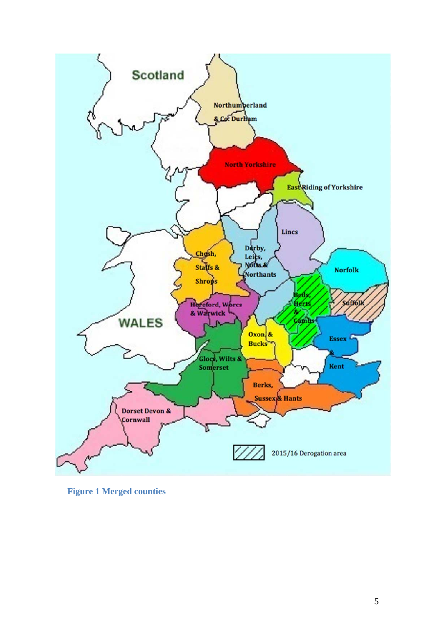

**Figure 1 Merged counties**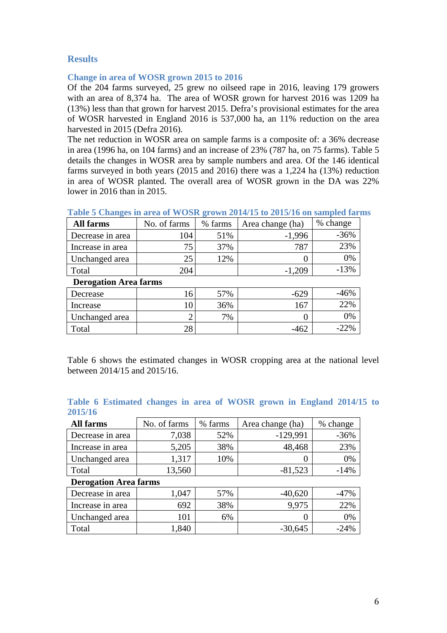## **Results**

#### **Change in area of WOSR grown 2015 to 2016**

Of the 204 farms surveyed, 25 grew no oilseed rape in 2016, leaving 179 growers with an area of 8,374 ha. The area of WOSR grown for harvest 2016 was 1209 ha (13%) less than that grown for harvest 2015. Defra's provisional estimates for the area of WOSR harvested in England 2016 is 537,000 ha, an 11% reduction on the area harvested in 2015 (Defra 2016).

The net reduction in WOSR area on sample farms is a composite of: a 36% decrease in area (1996 ha, on 104 farms) and an increase of 23% (787 ha, on 75 farms). Table 5 details the changes in WOSR area by sample numbers and area. Of the 146 identical farms surveyed in both years (2015 and 2016) there was a 1,224 ha (13%) reduction in area of WOSR planted. The overall area of WOSR grown in the DA was 22% lower in 2016 than in 2015.

| All farms                    | No. of farms | % farms | Area change (ha) | % change |
|------------------------------|--------------|---------|------------------|----------|
| Decrease in area             | 104          | 51%     | $-1,996$         | $-36%$   |
| Increase in area             | 75           | 37%     | 787              | 23%      |
| Unchanged area               | 25           | 12%     |                  | 0%       |
| Total                        | 204          |         | $-1,209$         | $-13%$   |
| <b>Derogation Area farms</b> |              |         |                  |          |
| Decrease                     | 16           | 57%     | $-629$           | $-46%$   |
| Increase                     | 10           | 36%     | 167              | 22%      |
| Unchanged area               |              | 7%      |                  | 0%       |
| Total                        | 28           |         | $-462$           | $-22%$   |

**Table 5 Changes in area of WOSR grown 2014/15 to 2015/16 on sampled farms** 

Table 6 shows the estimated changes in WOSR cropping area at the national level between 2014/15 and 2015/16.

| <b>All farms</b>             | No. of farms | % farms | Area change (ha) | % change |
|------------------------------|--------------|---------|------------------|----------|
| Decrease in area             | 7,038        | 52%     | $-129,991$       | $-36%$   |
| Increase in area             | 5,205        | 38%     | 48,468           | 23%      |
| Unchanged area               | 1,317        | 10%     |                  | 0%       |
| Total                        | 13,560       |         | $-81,523$        | $-14%$   |
| <b>Derogation Area farms</b> |              |         |                  |          |
| Decrease in area             | 1,047        | 57%     | $-40,620$        | $-47%$   |
| Increase in area             | 692          | 38%     | 9,975            | 22%      |
| Unchanged area               | 101          | 6%      |                  | 0%       |
| Total                        | 1,840        |         | $-30,645$        | $-24%$   |

|         | Table 6 Estimated changes in area of WOSR grown in England 2014/15 to |  |  |  |  |  |
|---------|-----------------------------------------------------------------------|--|--|--|--|--|
| 2015/16 |                                                                       |  |  |  |  |  |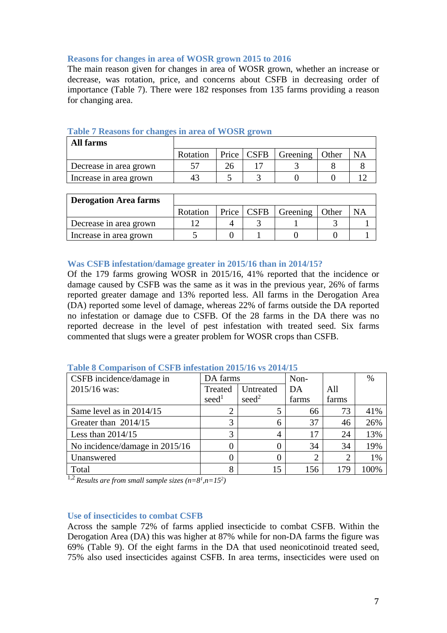#### **Reasons for changes in area of WOSR grown 2015 to 2016**

The main reason given for changes in area of WOSR grown, whether an increase or decrease, was rotation, price, and concerns about CSFB in decreasing order of importance (Table 7). There were 182 responses from 135 farms providing a reason for changing area.

| All farms              |          |              |                  |           |
|------------------------|----------|--------------|------------------|-----------|
|                        | Rotation | Price   CSFB | Greening   Other | <b>NA</b> |
| Decrease in area grown |          |              |                  |           |
| Increase in area grown | 41       |              |                  |           |

#### **Table 7 Reasons for changes in area of WOSR grown**

| <b>Derogation Area farms</b> |          |              |                  |           |
|------------------------------|----------|--------------|------------------|-----------|
|                              | Rotation | Price   CSFB | Greening   Other | <b>NA</b> |
| Decrease in area grown       |          |              |                  |           |
| Increase in area grown       |          |              |                  |           |

#### **Was CSFB infestation/damage greater in 2015/16 than in 2014/15?**

Of the 179 farms growing WOSR in 2015/16, 41% reported that the incidence or damage caused by CSFB was the same as it was in the previous year, 26% of farms reported greater damage and 13% reported less. All farms in the Derogation Area (DA) reported some level of damage, whereas 22% of farms outside the DA reported no infestation or damage due to CSFB. Of the 28 farms in the DA there was no reported decrease in the level of pest infestation with treated seed. Six farms commented that slugs were a greater problem for WOSR crops than CSFB.

| CSFB incidence/damage in       | DA farms          |                   | Non-           |       | %    |
|--------------------------------|-------------------|-------------------|----------------|-------|------|
| 2015/16 was:                   | Treated           | Untreated         | DA             | A11   |      |
|                                | seed <sup>1</sup> | seed <sup>2</sup> | farms          | farms |      |
| Same level as in $2014/15$     |                   |                   | 66             | 73    | 41%  |
| Greater than 2014/15           | 3                 | 6                 | 37             | 46    | 26%  |
| Less than $2014/15$            | 3                 |                   | 17             | 24    | 13%  |
| No incidence/damage in 2015/16 | 0                 |                   | 34             | 34    | 19%  |
| Unanswered                     |                   |                   | $\overline{2}$ | 2     | 1%   |
| Total<br>$\sim$                | 8                 | 15                | 156            | 179   | 100% |

#### **Table 8 Comparison of CSFB infestation 2015/16 vs 2014/15**

<sup>1,2</sup> *Results are from small sample sizes*  $(n=8^l, n=15^2)$ 

#### **Use of insecticides to combat CSFB**

Across the sample 72% of farms applied insecticide to combat CSFB. Within the Derogation Area (DA) this was higher at 87% while for non-DA farms the figure was 69% (Table 9). Of the eight farms in the DA that used neonicotinoid treated seed, 75% also used insecticides against CSFB. In area terms, insecticides were used on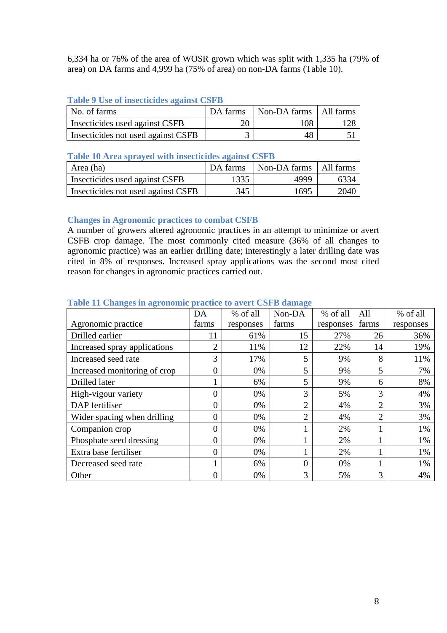6,334 ha or 76% of the area of WOSR grown which was split with 1,335 ha (79% of area) on DA farms and 4,999 ha (75% of area) on non-DA farms (Table 10).

### **Table 9 Use of insecticides against CSFB**

| No. of farms                       |    | DA farms   Non-DA farms   All farms |     |
|------------------------------------|----|-------------------------------------|-----|
| Insecticides used against CSFB     | 20 | 108                                 | 128 |
| Insecticides not used against CSFB |    | 48                                  |     |

### **Table 10 Area sprayed with insecticides against CSFB**

| Area (ha)                          | DA farms | Non-DA farms   All farms |      |
|------------------------------------|----------|--------------------------|------|
| Insecticides used against CSFB     | 1335     | 4999                     | 6334 |
| Insecticides not used against CSFB | 345      | 1695                     | 2040 |

## **Changes in Agronomic practices to combat CSFB**

A number of growers altered agronomic practices in an attempt to minimize or avert CSFB crop damage. The most commonly cited measure (36% of all changes to agronomic practice) was an earlier drilling date; interestingly a later drilling date was cited in 8% of responses. Increased spray applications was the second most cited reason for changes in agronomic practices carried out.

|                              | DA               | % of all  | Non-DA         | % of all  | All            | % of all  |
|------------------------------|------------------|-----------|----------------|-----------|----------------|-----------|
| Agronomic practice           | farms            | responses | farms          | responses | farms          | responses |
| Drilled earlier              | 11               | 61%       | 15             | 27%       | 26             | 36%       |
| Increased spray applications | $\overline{2}$   | 11%       | 12             | 22%       | 14             | 19%       |
| Increased seed rate          | 3                | 17%       | 5              | 9%        | 8              | 11%       |
| Increased monitoring of crop | $\overline{0}$   | 0%        | 5              | 9%        | 5              | 7%        |
| Drilled later                |                  | 6%        | 5              | 9%        | 6              | 8%        |
| High-vigour variety          | $\boldsymbol{0}$ | 0%        | 3              | 5%        | 3              | 4%        |
| DAP fertiliser               | $\overline{0}$   | 0%        | $\overline{2}$ | 4%        | $\overline{2}$ | 3%        |
| Wider spacing when drilling  | $\overline{0}$   | 0%        | $\overline{2}$ | 4%        | $\overline{2}$ | 3%        |
| Companion crop               | $\overline{0}$   | 0%        |                | 2%        |                | 1%        |
| Phosphate seed dressing      | $\boldsymbol{0}$ | 0%        |                | 2%        |                | 1%        |
| Extra base fertiliser        | $\overline{0}$   | 0%        |                | 2%        |                | 1%        |
| Decreased seed rate          | 1                | 6%        | 0              | 0%        |                | 1%        |
| Other                        | $\overline{0}$   | 0%        | 3              | 5%        | 3              | 4%        |

#### **Table 11 Changes in agronomic practice to avert CSFB damage**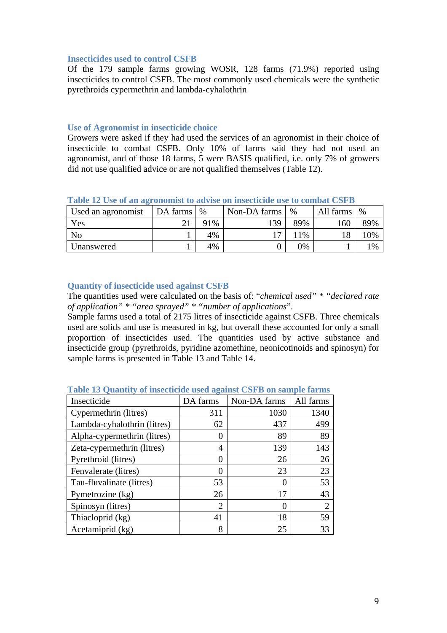#### **Insecticides used to control CSFB**

Of the 179 sample farms growing WOSR, 128 farms (71.9%) reported using insecticides to control CSFB. The most commonly used chemicals were the synthetic pyrethroids cypermethrin and lambda-cyhalothrin

#### **Use of Agronomist in insecticide choice**

Growers were asked if they had used the services of an agronomist in their choice of insecticide to combat CSFB. Only 10% of farms said they had not used an agronomist, and of those 18 farms, 5 were BASIS qualified, i.e. only 7% of growers did not use qualified advice or are not qualified themselves (Table 12).

| Used an agronomist | DA farms | %   | Non-DA farms | $\%$          | All farms | $\%$ |
|--------------------|----------|-----|--------------|---------------|-----------|------|
| Yes                |          | 91% | 139          | 89%           | 160       | 89%  |
| No                 |          | 4%  | $\mathbf{r}$ | $\frac{9}{6}$ | 18        | 10%  |
| Unanswered         |          | 4%  |              | 0%            |           | 1%   |

**Table 12 Use of an agronomist to advise on insecticide use to combat CSFB** 

#### **Quantity of insecticide used against CSFB**

The quantities used were calculated on the basis of: "*chemical used" \* "declared rate of application" \* "area sprayed" \* "number of applications*".

Sample farms used a total of 2175 litres of insecticide against CSFB. Three chemicals used are solids and use is measured in kg, but overall these accounted for only a small proportion of insecticides used. The quantities used by active substance and insecticide group (pyrethroids, pyridine azomethine, neonicotinoids and spinosyn) for sample farms is presented in Table 13 and Table 14.

| Insecticide                 | DA farms | Non-DA farms | All farms |
|-----------------------------|----------|--------------|-----------|
| Cypermethrin (litres)       | 311      | 1030         | 1340      |
| Lambda-cyhalothrin (litres) | 62       | 437          | 499       |
| Alpha-cypermethrin (litres) |          | 89           | 89        |
| Zeta-cypermethrin (litres)  | 4        | 139          | 143       |
| Pyrethroid (litres)         |          | 26           | 26        |
| Fenvalerate (litres)        |          | 23           | 23        |
| Tau-fluvalinate (litres)    | 53       |              | 53        |
| Pymetrozine (kg)            | 26       | 17           | 43        |
| Spinosyn (litres)           | 2        |              | 2         |
| Thiacloprid (kg)            | 41       | 18           | 59        |
| Acetamiprid (kg)            | 8        | 25           | 33        |

**Table 13 Quantity of insecticide used against CSFB on sample farms**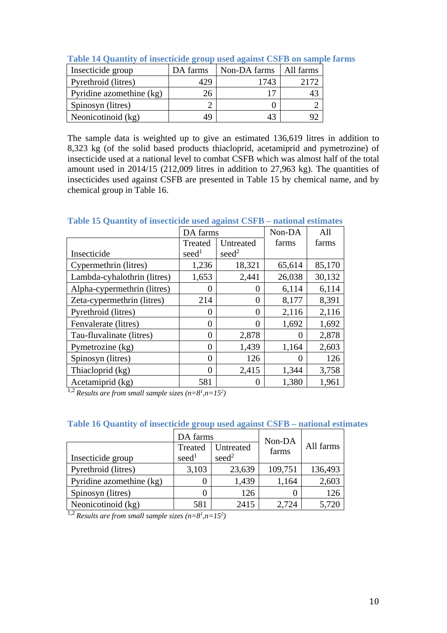| Insecticide group        | DA farms | Non-DA farms | All farms |
|--------------------------|----------|--------------|-----------|
| Pyrethroid (litres)      |          | 1743         |           |
| Pyridine azomethine (kg) | 26       | 17           |           |
| Spinosyn (litres)        |          |              |           |
| Neonicotinoid (kg)       | 4 Q      | 43           |           |

**Table 14 Quantity of insecticide group used against CSFB on sample farms** 

The sample data is weighted up to give an estimated 136,619 litres in addition to 8,323 kg (of the solid based products thiacloprid, acetamiprid and pymetrozine) of insecticide used at a national level to combat CSFB which was almost half of the total amount used in 2014/15 (212,009 litres in addition to 27,963 kg). The quantities of insecticides used against CSFB are presented in Table 15 by chemical name, and by chemical group in Table 16.

**Table 15 Quantity of insecticide used against CSFB – national estimates** 

|                             | DA farms          |                   | Non-DA | All    |
|-----------------------------|-------------------|-------------------|--------|--------|
|                             | Treated           | Untreated         | farms  | farms  |
| Insecticide                 | seed <sup>1</sup> | seed <sup>2</sup> |        |        |
| Cypermethrin (litres)       | 1,236             | 18,321            | 65,614 | 85,170 |
| Lambda-cyhalothrin (litres) | 1,653             | 2,441             | 26,038 | 30,132 |
| Alpha-cypermethrin (litres) | 0                 | 0                 | 6,114  | 6,114  |
| Zeta-cypermethrin (litres)  | 214               | 0                 | 8,177  | 8,391  |
| Pyrethroid (litres)         | $\Omega$          | 0                 | 2,116  | 2,116  |
| Fenvalerate (litres)        | $\overline{0}$    | 0                 | 1,692  | 1,692  |
| Tau-fluvalinate (litres)    | $\theta$          | 2,878             |        | 2,878  |
| Pymetrozine (kg)            | $\theta$          | 1,439             | 1,164  | 2,603  |
| Spinosyn (litres)           | $\theta$          | 126               |        | 126    |
| Thiacloprid (kg)            | $\theta$          | 2,415             | 1,344  | 3,758  |
| Acetamiprid (kg)            | 581               | 0                 | 1,380  | 1,961  |

<sup>1,2</sup> *Results are from small sample sizes*  $(n=8<sup>1</sup>, n=15<sup>2</sup>)$ 

|                          | DA farms          |                   | Non-DA  | All farms |  |
|--------------------------|-------------------|-------------------|---------|-----------|--|
|                          | Treated           | Untreated         | farms   |           |  |
| Insecticide group        | seed <sup>1</sup> | seed <sup>2</sup> |         |           |  |
| Pyrethroid (litres)      | 3,103             | 23,639            | 109,751 | 136,493   |  |
| Pyridine azomethine (kg) |                   | 1,439             | 1,164   | 2,603     |  |
| Spinosyn (litres)        |                   | 126               |         | 126       |  |
| Neonicotinoid (kg)       | 581               | 2415              | 2.724   | 5,720     |  |

## **Table 16 Quantity of insecticide group used against CSFB – national estimates**

<sup>1,2</sup> *Results are from small sample sizes*  $(n=8^l, n=15^2)$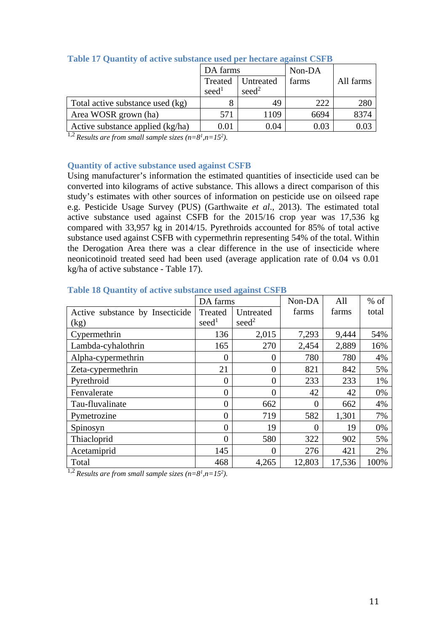|                                  | DA farms                     |                                | Non-DA |           |
|----------------------------------|------------------------------|--------------------------------|--------|-----------|
|                                  | Treated<br>seed <sup>1</sup> | Untreated<br>seed <sup>2</sup> | farms  | All farms |
| Total active substance used (kg) |                              | 49                             | 222    | 280       |
| Area WOSR grown (ha)             | 571                          | 1109                           | 6694   | 8374      |
| Active substance applied (kg/ha) | 0.01                         | 0.04                           | 0.03   |           |

## **Table 17 Quantity of active substance used per hectare against CSFB**

<sup>1,2</sup> *Results are from small sample sizes*  $(n=8^1, n=15^2)$ *.* 

#### **Quantity of active substance used against CSFB**

Using manufacturer's information the estimated quantities of insecticide used can be converted into kilograms of active substance. This allows a direct comparison of this study's estimates with other sources of information on pesticide use on oilseed rape e.g. Pesticide Usage Survey (PUS) (Garthwaite *et al*., 2013). The estimated total active substance used against CSFB for the 2015/16 crop year was 17,536 kg compared with 33,957 kg in 2014/15. Pyrethroids accounted for 85% of total active substance used against CSFB with cypermethrin representing 54% of the total. Within the Derogation Area there was a clear difference in the use of insecticide where neonicotinoid treated seed had been used (average application rate of 0.04 vs 0.01 kg/ha of active substance - Table 17).

|                                 | DA farms          |                   | Non-DA   | All    | $%$ of |
|---------------------------------|-------------------|-------------------|----------|--------|--------|
| Active substance by Insecticide | Treated           | Untreated         | farms    | farms  | total  |
| (kg)                            | seed <sup>1</sup> | seed <sup>2</sup> |          |        |        |
| Cypermethrin                    | 136               | 2,015             | 7,293    | 9,444  | 54%    |
| Lambda-cyhalothrin              | 165               | 270               | 2,454    | 2,889  | 16%    |
| Alpha-cypermethrin              | $\overline{0}$    | $\Omega$          | 780      | 780    | 4%     |
| Zeta-cypermethrin               | 21                | $\boldsymbol{0}$  | 821      | 842    | 5%     |
| Pyrethroid                      | $\overline{0}$    | $\overline{0}$    | 233      | 233    | 1%     |
| Fenvalerate                     | $\overline{0}$    | $\overline{0}$    | 42       | 42     | 0%     |
| Tau-fluvalinate                 | $\overline{0}$    | 662               | $\theta$ | 662    | 4%     |
| Pymetrozine                     | $\overline{0}$    | 719               | 582      | 1,301  | 7%     |
| Spinosyn                        | $\overline{0}$    | 19                | $\Omega$ | 19     | 0%     |
| Thiacloprid                     | $\overline{0}$    | 580               | 322      | 902    | 5%     |
| Acetamiprid                     | 145               | $\theta$          | 276      | 421    | 2%     |
| Total                           | 468               | 4,265             | 12,803   | 17,536 | 100%   |

#### **Table 18 Quantity of active substance used against CSFB**

<sup>1,2</sup> *Results are from small sample sizes*  $(n=8^l, n=15^2)$ *.*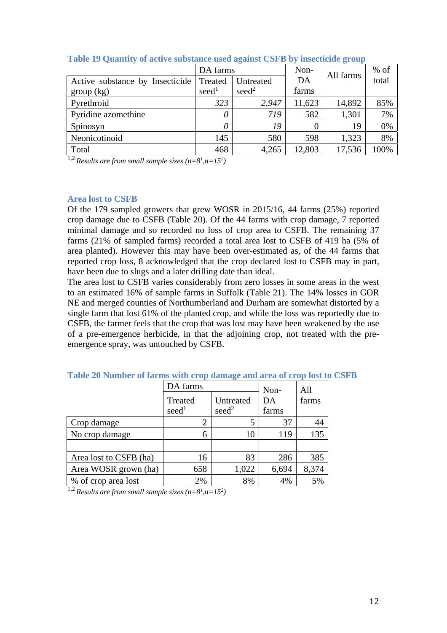|                                 | DA farms          |                   | Non-   | All farms | $%$ of |
|---------------------------------|-------------------|-------------------|--------|-----------|--------|
| Active substance by Insecticide | Treated           | Untreated         | DA     |           | total  |
| group (kg)                      | seed <sup>1</sup> | seed <sup>2</sup> | farms  |           |        |
| Pyrethroid                      | 323               | 2,947             | 11,623 | 14,892    | 85%    |
| Pyridine azomethine             | 0                 | 719               | 582    | 1,301     | 7%     |
| Spinosyn                        | 0                 | 19                |        | 19        | 0%     |
| Neonicotinoid                   | 145               | 580               | 598    | 1,323     | 8%     |
| Total                           | 468               | 4,265             | 12,803 | 17,536    | 100%   |

**Table 19 Quantity of active substance used against CSFB by insecticide group** 

<sup>1,2</sup> *Results are from small sample sizes*  $(n=8^1, n=15^2)$ 

#### **Area lost to CSFB**

Of the 179 sampled growers that grew WOSR in 2015/16, 44 farms (25%) reported crop damage due to CSFB (Table 20). Of the 44 farms with crop damage, 7 reported minimal damage and so recorded no loss of crop area to CSFB. The remaining 37 farms (21% of sampled farms) recorded a total area lost to CSFB of 419 ha (5% of area planted). However this may have been over-estimated as, of the 44 farms that reported crop loss, 8 acknowledged that the crop declared lost to CSFB may in part, have been due to slugs and a later drilling date than ideal.

The area lost to CSFB varies considerably from zero losses in some areas in the west to an estimated 16% of sample farms in Suffolk (Table 21). The 14% losses in GOR NE and merged counties of Northumberland and Durham are somewhat distorted by a single farm that lost 61% of the planted crop, and while the loss was reportedly due to CSFB, the farmer feels that the crop that was lost may have been weakened by the use of a pre-emergence herbicide, in that the adjoining crop, not treated with the preemergence spray, was untouched by CSFB.

|                        | DA farms                     |                                | Non-        | All   |  |
|------------------------|------------------------------|--------------------------------|-------------|-------|--|
|                        | Treated<br>seed <sup>1</sup> | Untreated<br>seed <sup>2</sup> | DA<br>farms | farms |  |
| Crop damage            | 2                            |                                | 37          | 44    |  |
| No crop damage         | 6                            | 10                             | 119         | 135   |  |
|                        |                              |                                |             |       |  |
| Area lost to CSFB (ha) | 16                           | 83                             | 286         | 385   |  |
| Area WOSR grown (ha)   | 658                          | 1,022                          | 6,694       | 8,374 |  |
| % of crop area lost    | 2%                           | 8%                             | 4%          | 5%    |  |

#### **Table 20 Number of farms with crop damage and area of crop lost to CSFB**

<sup>1,2</sup> *Results are from small sample sizes*  $(n=8<sup>1</sup>, n=15<sup>2</sup>)$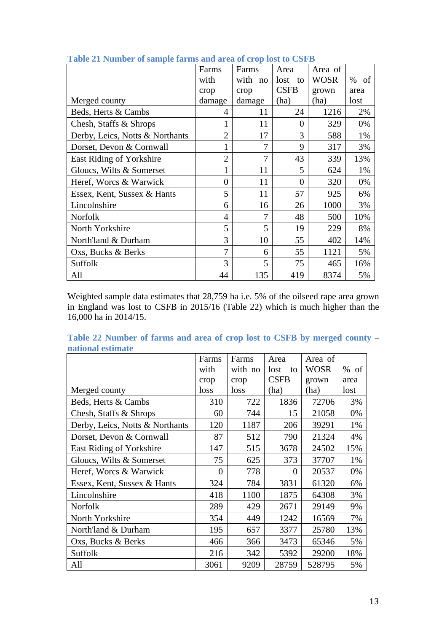|                                 | Farms          | Farms   | Area        | Area of     |            |
|---------------------------------|----------------|---------|-------------|-------------|------------|
|                                 | with           | with no | lost<br>to  | <b>WOSR</b> | $\%$<br>of |
|                                 | crop           | crop    | <b>CSFB</b> | grown       | area       |
| Merged county                   | damage         | damage  | (ha)        | (ha)        | lost       |
| Beds, Herts & Cambs             | 4              | 11      | 24          | 1216        | 2%         |
| Chesh, Staffs & Shrops          | 1              | 11      | $\theta$    | 329         | 0%         |
| Derby, Leics, Notts & Northants | $\overline{2}$ | 17      | 3           | 588         | 1%         |
| Dorset, Devon & Cornwall        | 1              | 7       | 9           | 317         | 3%         |
| East Riding of Yorkshire        | $\overline{2}$ | 7       | 43          | 339         | 13%        |
| Gloucs, Wilts & Somerset        | 1              | 11      | 5           | 624         | 1%         |
| Heref, Worcs & Warwick          | $\theta$       | 11      | 0           | 320         | 0%         |
| Essex, Kent, Sussex & Hants     | 5              | 11      | 57          | 925         | 6%         |
| Lincolnshire                    | 6              | 16      | 26          | 1000        | 3%         |
| <b>Norfolk</b>                  | $\overline{4}$ | 7       | 48          | 500         | 10%        |
| North Yorkshire                 | 5              | 5       | 19          | 229         | 8%         |
| North'land & Durham             | 3              | 10      | 55          | 402         | 14%        |
| Oxs, Bucks & Berks              | 7              | 6       | 55          | 1121        | 5%         |
| Suffolk                         | 3              | 5       | 75          | 465         | 16%        |
| All                             | 44             | 135     | 419         | 8374        | 5%         |

## **Table 21 Number of sample farms and area of crop lost to CSFB**

Weighted sample data estimates that 28,759 ha i.e. 5% of the oilseed rape area grown in England was lost to CSFB in 2015/16 (Table 22) which is much higher than the 16,000 ha in 2014/15.

| national estimate               |       |         |             |             |        |
|---------------------------------|-------|---------|-------------|-------------|--------|
|                                 | Farms | Farms   | Area        | Area of     |        |
|                                 | with  | with no | lost<br>to  | <b>WOSR</b> | $%$ of |
|                                 | crop  | crop    | <b>CSFB</b> | grown       | area   |
| Merged county                   | loss  | loss    | (ha)        | (ha)        | lost   |
| Beds, Herts & Cambs             | 310   | 722     | 1836        | 72706       | 3%     |
| Chesh, Staffs & Shrops          | 60    | 744     | 15          | 21058       | 0%     |
| Derby, Leics, Notts & Northants | 120   | 1187    | 206         | 39291       | 1%     |
| Dorset, Devon & Cornwall        | 87    | 512     | 790         | 21324       | 4%     |
| <b>East Riding of Yorkshire</b> | 147   | 515     | 3678        | 24502       | 15%    |
| Gloucs, Wilts & Somerset        | 75    | 625     | 373         | 37707       | 1%     |
| Heref, Worcs & Warwick          | 0     | 778     | $\theta$    | 20537       | 0%     |
| Essex, Kent, Sussex & Hants     | 324   | 784     | 3831        | 61320       | 6%     |
| Lincolnshire                    | 418   | 1100    | 1875        | 64308       | 3%     |
| Norfolk                         | 289   | 429     | 2671        | 29149       | 9%     |
| North Yorkshire                 | 354   | 449     | 1242        | 16569       | 7%     |
| North'land & Durham             | 195   | 657     | 3377        | 25780       | 13%    |
| Oxs, Bucks & Berks              | 466   | 366     | 3473        | 65346       | 5%     |
| Suffolk                         | 216   | 342     | 5392        | 29200       | 18%    |
| All                             | 3061  | 9209    | 28759       | 528795      | 5%     |

**Table 22 Number of farms and area of crop lost to CSFB by merged county – national estimate**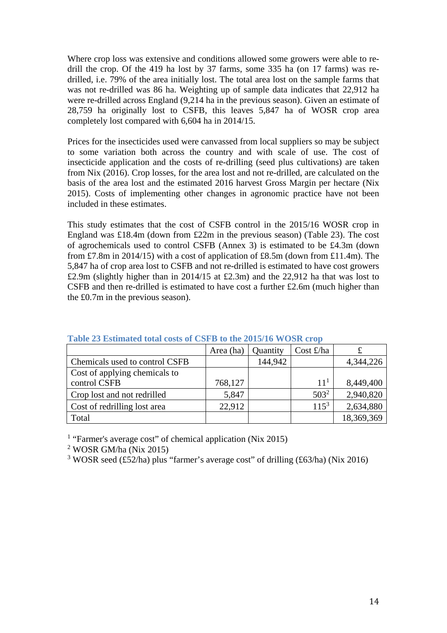Where crop loss was extensive and conditions allowed some growers were able to redrill the crop. Of the 419 ha lost by 37 farms, some 335 ha (on 17 farms) was redrilled, i.e. 79% of the area initially lost. The total area lost on the sample farms that was not re-drilled was 86 ha. Weighting up of sample data indicates that 22,912 ha were re-drilled across England (9,214 ha in the previous season). Given an estimate of 28,759 ha originally lost to CSFB, this leaves 5,847 ha of WOSR crop area completely lost compared with 6,604 ha in 2014/15.

Prices for the insecticides used were canvassed from local suppliers so may be subject to some variation both across the country and with scale of use. The cost of insecticide application and the costs of re-drilling (seed plus cultivations) are taken from Nix (2016). Crop losses, for the area lost and not re-drilled, are calculated on the basis of the area lost and the estimated 2016 harvest Gross Margin per hectare (Nix 2015). Costs of implementing other changes in agronomic practice have not been included in these estimates.

This study estimates that the cost of CSFB control in the 2015/16 WOSR crop in England was £18.4m (down from £22m in the previous season) (Table 23). The cost of agrochemicals used to control CSFB (Annex 3) is estimated to be £4.3m (down from £7.8m in 2014/15) with a cost of application of £8.5m (down from £11.4m). The 5,847 ha of crop area lost to CSFB and not re-drilled is estimated to have cost growers £2.9m (slightly higher than in 2014/15 at £2.3m) and the 22,912 ha that was lost to CSFB and then re-drilled is estimated to have cost a further £2.6m (much higher than the £0.7m in the previous season).

|                                | Area (ha) | Quantity | Cost $\pounds$ /ha |            |
|--------------------------------|-----------|----------|--------------------|------------|
| Chemicals used to control CSFB |           | 144,942  |                    | 4,344,226  |
| Cost of applying chemicals to  |           |          |                    |            |
| control CSFB                   | 768,127   |          | $11^{1}$           | 8,449,400  |
| Crop lost and not redrilled    | 5,847     |          | $503^2$            | 2,940,820  |
| Cost of redrilling lost area   | 22,912    |          | $115^3$            | 2,634,880  |
| Total                          |           |          |                    | 18,369,369 |

#### **Table 23 Estimated total costs of CSFB to the 2015/16 WOSR crop**

<sup>1</sup> "Farmer's average cost" of chemical application (Nix 2015)

2 WOSR GM/ha (Nix 2015)

<sup>3</sup> WOSR seed (£52/ha) plus "farmer's average cost" of drilling (£63/ha) (Nix 2016)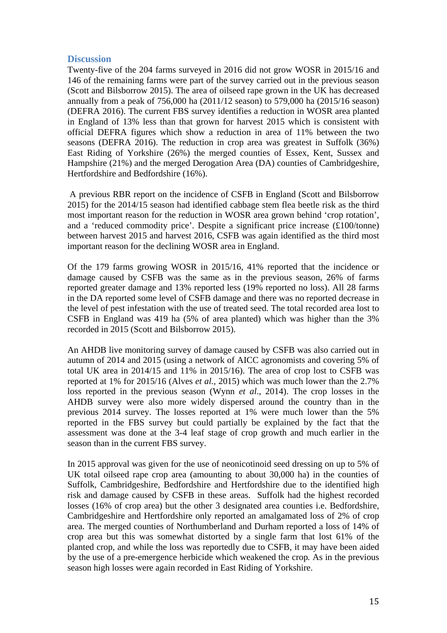## **Discussion**

Twenty-five of the 204 farms surveyed in 2016 did not grow WOSR in 2015/16 and 146 of the remaining farms were part of the survey carried out in the previous season (Scott and Bilsborrow 2015). The area of oilseed rape grown in the UK has decreased annually from a peak of 756,000 ha (2011/12 season) to 579,000 ha (2015/16 season) (DEFRA 2016). The current FBS survey identifies a reduction in WOSR area planted in England of 13% less than that grown for harvest 2015 which is consistent with official DEFRA figures which show a reduction in area of 11% between the two seasons (DEFRA 2016). The reduction in crop area was greatest in Suffolk (36%) East Riding of Yorkshire (26%) the merged counties of Essex, Kent, Sussex and Hampshire (21%) and the merged Derogation Area (DA) counties of Cambridgeshire, Hertfordshire and Bedfordshire (16%).

 A previous RBR report on the incidence of CSFB in England (Scott and Bilsborrow 2015) for the 2014/15 season had identified cabbage stem flea beetle risk as the third most important reason for the reduction in WOSR area grown behind 'crop rotation', and a 'reduced commodity price'. Despite a significant price increase (£100/tonne) between harvest 2015 and harvest 2016, CSFB was again identified as the third most important reason for the declining WOSR area in England.

Of the 179 farms growing WOSR in 2015/16, 41% reported that the incidence or damage caused by CSFB was the same as in the previous season, 26% of farms reported greater damage and 13% reported less (19% reported no loss). All 28 farms in the DA reported some level of CSFB damage and there was no reported decrease in the level of pest infestation with the use of treated seed. The total recorded area lost to CSFB in England was 419 ha (5% of area planted) which was higher than the 3% recorded in 2015 (Scott and Bilsborrow 2015).

An AHDB live monitoring survey of damage caused by CSFB was also carried out in autumn of 2014 and 2015 (using a network of AICC agronomists and covering 5% of total UK area in 2014/15 and 11% in 2015/16). The area of crop lost to CSFB was reported at 1% for 2015/16 (Alves *et al.,* 2015) which was much lower than the 2.7% loss reported in the previous season (Wynn *et al*., 2014). The crop losses in the AHDB survey were also more widely dispersed around the country than in the previous 2014 survey. The losses reported at 1% were much lower than the 5% reported in the FBS survey but could partially be explained by the fact that the assessment was done at the 3-4 leaf stage of crop growth and much earlier in the season than in the current FBS survey.

In 2015 approval was given for the use of neonicotinoid seed dressing on up to 5% of UK total oilseed rape crop area (amounting to about 30,000 ha) in the counties of Suffolk, Cambridgeshire, Bedfordshire and Hertfordshire due to the identified high risk and damage caused by CSFB in these areas. Suffolk had the highest recorded losses (16% of crop area) but the other 3 designated area counties i.e. Bedfordshire, Cambridgeshire and Hertfordshire only reported an amalgamated loss of 2% of crop area. The merged counties of Northumberland and Durham reported a loss of 14% of crop area but this was somewhat distorted by a single farm that lost 61% of the planted crop, and while the loss was reportedly due to CSFB, it may have been aided by the use of a pre-emergence herbicide which weakened the crop*.* As in the previous season high losses were again recorded in East Riding of Yorkshire.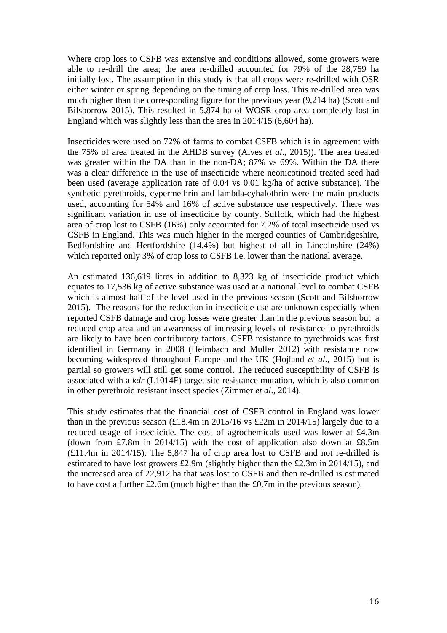Where crop loss to CSFB was extensive and conditions allowed, some growers were able to re-drill the area; the area re-drilled accounted for 79% of the 28,759 ha initially lost. The assumption in this study is that all crops were re-drilled with OSR either winter or spring depending on the timing of crop loss. This re-drilled area was much higher than the corresponding figure for the previous year (9,214 ha) (Scott and Bilsborrow 2015). This resulted in 5,874 ha of WOSR crop area completely lost in England which was slightly less than the area in 2014/15 (6,604 ha).

Insecticides were used on 72% of farms to combat CSFB which is in agreement with the 75% of area treated in the AHDB survey (Alves *et al*., 2015)). The area treated was greater within the DA than in the non-DA; 87% vs 69%. Within the DA there was a clear difference in the use of insecticide where neonicotinoid treated seed had been used (average application rate of 0.04 vs 0.01 kg/ha of active substance). The synthetic pyrethroids, cypermethrin and lambda-cyhalothrin were the main products used, accounting for 54% and 16% of active substance use respectively. There was significant variation in use of insecticide by county. Suffolk, which had the highest area of crop lost to CSFB (16%) only accounted for 7.2% of total insecticide used vs CSFB in England. This was much higher in the merged counties of Cambridgeshire, Bedfordshire and Hertfordshire (14.4%) but highest of all in Lincolnshire (24%) which reported only 3% of crop loss to CSFB i.e. lower than the national average.

An estimated 136,619 litres in addition to 8,323 kg of insecticide product which equates to 17,536 kg of active substance was used at a national level to combat CSFB which is almost half of the level used in the previous season (Scott and Bilsborrow 2015). The reasons for the reduction in insecticide use are unknown especially when reported CSFB damage and crop losses were greater than in the previous season but a reduced crop area and an awareness of increasing levels of resistance to pyrethroids are likely to have been contributory factors. CSFB resistance to pyrethroids was first identified in Germany in 2008 (Heimbach and Muller 2012) with resistance now becoming widespread throughout Europe and the UK (Hojland *et al*., 2015) but is partial so growers will still get some control. The reduced susceptibility of CSFB is associated with a *kdr* (L1014F) target site resistance mutation, which is also common in other pyrethroid resistant insect species (Zimmer *et al*., 2014).

This study estimates that the financial cost of CSFB control in England was lower than in the previous season (£18.4m in 2015/16 vs £22m in 2014/15) largely due to a reduced usage of insecticide. The cost of agrochemicals used was lower at £4.3m (down from £7.8m in 2014/15) with the cost of application also down at £8.5m (£11.4m in 2014/15). The 5,847 ha of crop area lost to CSFB and not re-drilled is estimated to have lost growers £2.9m (slightly higher than the £2.3m in 2014/15), and the increased area of 22,912 ha that was lost to CSFB and then re-drilled is estimated to have cost a further £2.6m (much higher than the £0.7m in the previous season).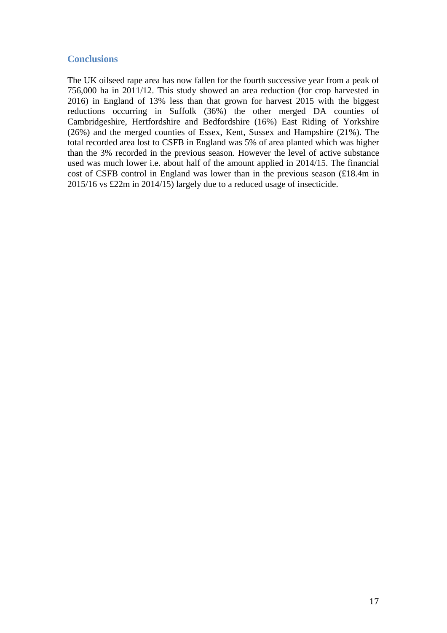## **Conclusions**

The UK oilseed rape area has now fallen for the fourth successive year from a peak of 756,000 ha in 2011/12. This study showed an area reduction (for crop harvested in 2016) in England of 13% less than that grown for harvest 2015 with the biggest reductions occurring in Suffolk (36%) the other merged DA counties of Cambridgeshire, Hertfordshire and Bedfordshire (16%) East Riding of Yorkshire (26%) and the merged counties of Essex, Kent, Sussex and Hampshire (21%). The total recorded area lost to CSFB in England was 5% of area planted which was higher than the 3% recorded in the previous season. However the level of active substance used was much lower i.e. about half of the amount applied in 2014/15. The financial cost of CSFB control in England was lower than in the previous season (£18.4m in 2015/16 vs £22m in 2014/15) largely due to a reduced usage of insecticide.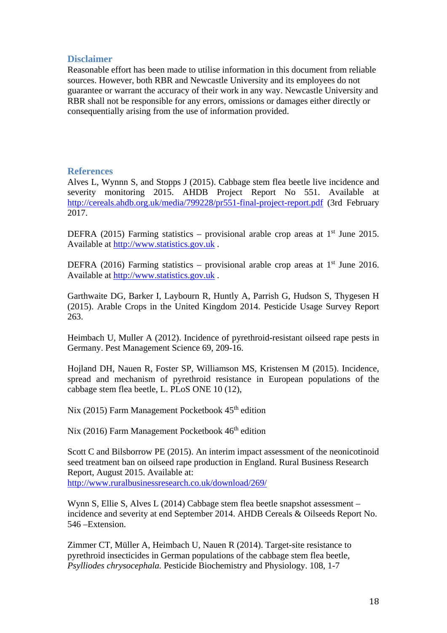## **Disclaimer**

Reasonable effort has been made to utilise information in this document from reliable sources. However, both RBR and Newcastle University and its employees do not guarantee or warrant the accuracy of their work in any way. Newcastle University and RBR shall not be responsible for any errors, omissions or damages either directly or consequentially arising from the use of information provided.

### **References**

Alves L, Wynnn S, and Stopps J (2015). Cabbage stem flea beetle live incidence and severity monitoring 2015. AHDB Project Report No 551. Available at http://cereals.ahdb.org.uk/media/799228/pr551-final-project-report.pdf (3rd February 2017.

DEFRA (2015) Farming statistics – provisional arable crop areas at  $1<sup>st</sup>$  June 2015. Available at http://www.statistics.gov.uk .

DEFRA (2016) Farming statistics – provisional arable crop areas at  $1<sup>st</sup>$  June 2016. Available at http://www.statistics.gov.uk .

Garthwaite DG, Barker I, Laybourn R, Huntly A, Parrish G, Hudson S, Thygesen H (2015). Arable Crops in the United Kingdom 2014. Pesticide Usage Survey Report 263.

Heimbach U, Muller A (2012). Incidence of pyrethroid-resistant oilseed rape pests in Germany. Pest Management Science 69, 209-16.

Hojland DH, Nauen R, Foster SP, Williamson MS, Kristensen M (2015). Incidence, spread and mechanism of pyrethroid resistance in European populations of the cabbage stem flea beetle, L. PLoS ONE 10 (12),

Nix (2015) Farm Management Pocketbook  $45<sup>th</sup>$  edition

Nix (2016) Farm Management Pocketbook  $46<sup>th</sup>$  edition

Scott C and Bilsborrow PE (2015). An interim impact assessment of the neonicotinoid seed treatment ban on oilseed rape production in England. Rural Business Research Report, August 2015. Available at: http://www.ruralbusinessresearch.co.uk/download/269/

Wynn S, Ellie S, Alves L (2014) Cabbage stem flea beetle snapshot assessment – incidence and severity at end September 2014. AHDB Cereals & Oilseeds Report No. 546 –Extension.

Zimmer CT, Müller A, Heimbach U, Nauen R (2014). Target-site resistance to pyrethroid insecticides in German populations of the cabbage stem flea beetle, *Psylliodes chrysocephala.* Pesticide Biochemistry and Physiology. 108, 1-7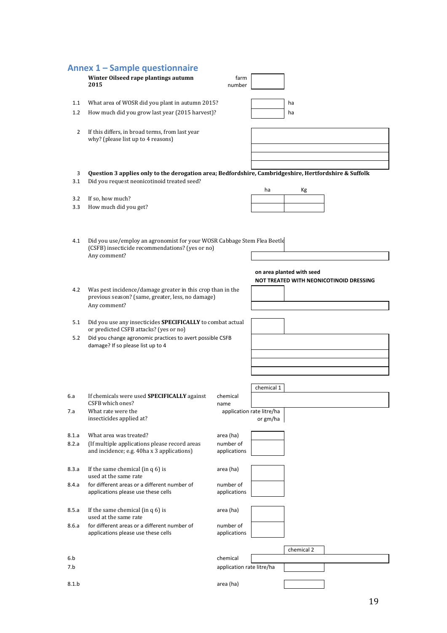|                | Annex 1 - Sample questionnaire                                                                        |                           |                           |                           |                                         |
|----------------|-------------------------------------------------------------------------------------------------------|---------------------------|---------------------------|---------------------------|-----------------------------------------|
|                | Winter Oilseed rape plantings autumn                                                                  | farm                      |                           |                           |                                         |
|                | 2015                                                                                                  | number                    |                           |                           |                                         |
|                |                                                                                                       |                           |                           |                           |                                         |
| 1.1            | What area of WOSR did you plant in autumn 2015?                                                       |                           |                           | ha                        |                                         |
| 1.2            | How much did you grow last year (2015 harvest)?                                                       |                           |                           | ha                        |                                         |
|                |                                                                                                       |                           |                           |                           |                                         |
| $\overline{2}$ | If this differs, in broad terms, from last year                                                       |                           |                           |                           |                                         |
|                | why? (please list up to 4 reasons)                                                                    |                           |                           |                           |                                         |
|                |                                                                                                       |                           |                           |                           |                                         |
|                |                                                                                                       |                           |                           |                           |                                         |
|                |                                                                                                       |                           |                           |                           |                                         |
| 3              | Question 3 applies only to the derogation area; Bedfordshire, Cambridgeshire, Hertfordshire & Suffolk |                           |                           |                           |                                         |
| 3.1            | Did you request neonicotinoid treated seed?                                                           |                           |                           |                           |                                         |
|                |                                                                                                       |                           | ha                        | Кg                        |                                         |
| 3.2            | If so, how much?                                                                                      |                           |                           |                           |                                         |
| 3.3            | How much did you get?                                                                                 |                           |                           |                           |                                         |
|                |                                                                                                       |                           |                           |                           |                                         |
|                |                                                                                                       |                           |                           |                           |                                         |
|                |                                                                                                       |                           |                           |                           |                                         |
| 4.1            | Did you use/employ an agronomist for your WOSR Cabbage Stem Flea Beetle                               |                           |                           |                           |                                         |
|                | (CSFB) insecticide recommendations? (yes or no)                                                       |                           |                           |                           |                                         |
|                | Any comment?                                                                                          |                           |                           |                           |                                         |
|                |                                                                                                       |                           |                           |                           |                                         |
|                |                                                                                                       |                           |                           | on area planted with seed |                                         |
|                |                                                                                                       |                           |                           |                           | NOT TREATED WITH NEONICOTINOID DRESSING |
| 4.2            | Was pest incidence/damage greater in this crop than in the                                            |                           |                           |                           |                                         |
|                | previous season? (same, greater, less, no damage)                                                     |                           |                           |                           |                                         |
|                | Any comment?                                                                                          |                           |                           |                           |                                         |
|                |                                                                                                       |                           |                           |                           |                                         |
| 5.1            | Did you use any insecticides SPECIFICALLY to combat actual<br>or predicted CSFB attacks? (yes or no)  |                           |                           |                           |                                         |
| 5.2            | Did you change agronomic practices to avert possible CSFB                                             |                           |                           |                           |                                         |
|                | damage? If so please list up to 4                                                                     |                           |                           |                           |                                         |
|                |                                                                                                       |                           |                           |                           |                                         |
|                |                                                                                                       |                           |                           |                           |                                         |
|                |                                                                                                       |                           |                           |                           |                                         |
|                |                                                                                                       |                           |                           |                           |                                         |
|                |                                                                                                       |                           | chemical 1                |                           |                                         |
| 6.a            | If chemicals were used <b>SPECIFICALLY</b> against                                                    | chemical                  |                           |                           |                                         |
|                | CSFB which ones?                                                                                      | name                      |                           |                           |                                         |
| 7.a            | What rate were the                                                                                    |                           | application rate litre/ha |                           |                                         |
|                | insecticides applied at?                                                                              |                           | or gm/ha                  |                           |                                         |
|                |                                                                                                       |                           |                           |                           |                                         |
| 8.1.a          | What area was treated?                                                                                | area (ha)                 |                           |                           |                                         |
| 8.2.a          | (If multiple applications please record areas<br>and incidence; e.g. 40ha x 3 applications)           | number of<br>applications |                           |                           |                                         |
|                |                                                                                                       |                           |                           |                           |                                         |
|                |                                                                                                       |                           |                           |                           |                                         |
| 8.3.a          | If the same chemical (in $q_0$ ) is<br>used at the same rate                                          | area (ha)                 |                           |                           |                                         |
| 8.4.a          | for different areas or a different number of                                                          | number of                 |                           |                           |                                         |
|                | applications please use these cells                                                                   | applications              |                           |                           |                                         |
|                |                                                                                                       |                           |                           |                           |                                         |
| 8.5.a          | If the same chemical (in $q_0$ ) is                                                                   | area (ha)                 |                           |                           |                                         |
|                | used at the same rate                                                                                 |                           |                           |                           |                                         |
| 8.6.a          | for different areas or a different number of                                                          | number of                 |                           |                           |                                         |
|                | applications please use these cells                                                                   | applications              |                           |                           |                                         |
|                |                                                                                                       |                           |                           |                           |                                         |
|                |                                                                                                       |                           |                           | chemical 2                |                                         |
| 6.b            |                                                                                                       | chemical                  |                           |                           |                                         |
| 7.b            |                                                                                                       | application rate litre/ha |                           |                           |                                         |
|                |                                                                                                       |                           |                           |                           |                                         |
| 8.1.b          |                                                                                                       | area (ha)                 |                           |                           |                                         |
|                |                                                                                                       |                           |                           |                           |                                         |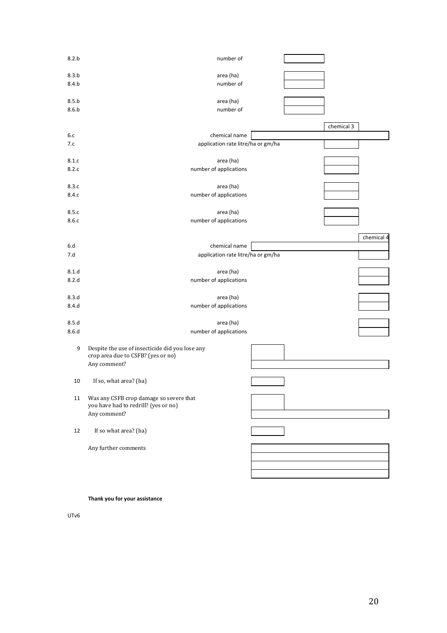| 8.2.b          | number of                                                                             |  |            |            |
|----------------|---------------------------------------------------------------------------------------|--|------------|------------|
| 8.3.b          | area (ha)                                                                             |  |            |            |
| 8.4.b          | number of                                                                             |  |            |            |
|                |                                                                                       |  |            |            |
| 8.5.b          | area (ha)                                                                             |  |            |            |
| 8.6.b          | number of                                                                             |  |            |            |
|                |                                                                                       |  | chemical 3 |            |
| 6.c            | chemical name                                                                         |  |            |            |
| 7.c            | application rate litre/ha or gm/ha                                                    |  |            |            |
|                |                                                                                       |  |            |            |
| 8.1.c          | area (ha)                                                                             |  |            |            |
| 8.2.c          | number of applications                                                                |  |            |            |
| 8.3.c          | area (ha)                                                                             |  |            |            |
| 8.4.c          | number of applications                                                                |  |            |            |
|                |                                                                                       |  |            |            |
| 8.5.c          | area (ha)                                                                             |  |            |            |
| 8.6.c          | number of applications                                                                |  |            |            |
|                |                                                                                       |  |            |            |
|                |                                                                                       |  |            | chemical 4 |
| 6.d<br>7.d     | chemical name<br>application rate litre/ha or gm/ha                                   |  |            |            |
|                |                                                                                       |  |            |            |
| 8.1.d          | area (ha)                                                                             |  |            |            |
| 8.2.d          | number of applications                                                                |  |            |            |
|                |                                                                                       |  |            |            |
| 8.3.d<br>8.4.d | area (ha)<br>number of applications                                                   |  |            |            |
|                |                                                                                       |  |            |            |
| 8.5.d          | area (ha)                                                                             |  |            |            |
| 8.6.d          | number of applications                                                                |  |            |            |
|                |                                                                                       |  |            |            |
| 9              | Despite the use of insecticide did you lose any<br>crop area due to CSFB? (yes or no) |  |            |            |
|                | Any comment?                                                                          |  |            |            |
|                |                                                                                       |  |            |            |
| 10             | If so, what area? (ha)                                                                |  |            |            |
|                |                                                                                       |  |            |            |
| 11             | Was any CSFB crop damage so severe that<br>you have had to redrill? (yes or no)       |  |            |            |
|                | Any comment?                                                                          |  |            |            |
|                |                                                                                       |  |            |            |
| $12\,$         | If so what area? (ha)                                                                 |  |            |            |
|                |                                                                                       |  |            |            |
|                | Any further comments                                                                  |  |            |            |
|                |                                                                                       |  |            |            |
|                |                                                                                       |  |            |            |
|                |                                                                                       |  |            |            |

**Thank you for your assistance**

UTv6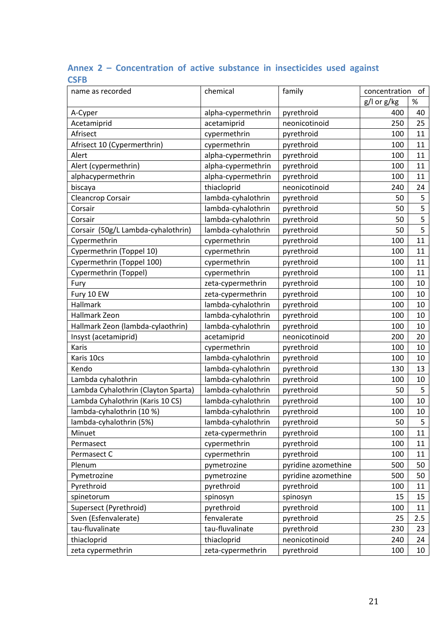| name as recorded                    | chemical           | family              | concentration | of   |
|-------------------------------------|--------------------|---------------------|---------------|------|
|                                     |                    |                     | g/l or g/kg   | $\%$ |
| A-Cyper                             | alpha-cypermethrin | pyrethroid          | 400           | 40   |
| Acetamiprid                         | acetamiprid        | neonicotinoid       | 250           | 25   |
| Afrisect                            | cypermethrin       | pyrethroid          | 100           | 11   |
| Afrisect 10 (Cypermerthrin)         | cypermethrin       | pyrethroid          | 100           | 11   |
| Alert                               | alpha-cypermethrin | pyrethroid          | 100           | 11   |
| Alert (cypermethrin)                | alpha-cypermethrin | pyrethroid          | 100           | 11   |
| alphacypermethrin                   | alpha-cypermethrin | pyrethroid          | 100           | 11   |
| biscaya                             | thiacloprid        | neonicotinoid       | 240           | 24   |
| Cleancrop Corsair                   | lambda-cyhalothrin | pyrethroid          | 50            | 5    |
| Corsair                             | lambda-cyhalothrin | pyrethroid          | 50            | 5    |
| Corsair                             | lambda-cyhalothrin | pyrethroid          | 50            | 5    |
| Corsair (50g/L Lambda-cyhalothrin)  | lambda-cyhalothrin | pyrethroid          | 50            | 5    |
| Cypermethrin                        | cypermethrin       | pyrethroid          | 100           | 11   |
| Cypermethrin (Toppel 10)            | cypermethrin       | pyrethroid          | 100           | 11   |
| Cypermethrin (Toppel 100)           | cypermethrin       | pyrethroid          | 100           | 11   |
| Cypermethrin (Toppel)               | cypermethrin       | pyrethroid          | 100           | 11   |
| Fury                                | zeta-cypermethrin  | pyrethroid          | 100           | 10   |
| Fury 10 EW                          | zeta-cypermethrin  | pyrethroid          | 100           | 10   |
| Hallmark                            | lambda-cyhalothrin | pyrethroid          | 100           | 10   |
| Hallmark Zeon                       | lambda-cyhalothrin | pyrethroid          | 100           | 10   |
| Hallmark Zeon (lambda-cylaothrin)   | lambda-cyhalothrin | pyrethroid          | 100           | 10   |
| Insyst (acetamiprid)                | acetamiprid        | neonicotinoid       | 200           | 20   |
| Karis                               | cypermethrin       | pyrethroid          | 100           | 10   |
| Karis 10cs                          | lambda-cyhalothrin | pyrethroid          | 100           | 10   |
| Kendo                               | lambda-cyhalothrin | pyrethroid          | 130           | 13   |
| Lambda cyhalothrin                  | lambda-cyhalothrin | pyrethroid          | 100           | 10   |
| Lambda Cyhalothrin (Clayton Sparta) | lambda-cyhalothrin | pyrethroid          | 50            | 5    |
| Lambda Cyhalothrin (Karis 10 CS)    | lambda-cyhalothrin | pyrethroid          | 100           | 10   |
| lambda-cyhalothrin (10 %)           | lambda-cyhalothrin | pyrethroid          | 100           | 10   |
| lambda-cyhalothrin (5%)             | lambda-cyhalothrin | pyrethroid          | 50            | 5    |
| Minuet                              | zeta-cypermethrin  | pyrethroid          | 100           | 11   |
| Permasect                           | cypermethrin       | pyrethroid          | 100           | 11   |
| Permasect C                         | cypermethrin       | pyrethroid          | 100           | 11   |
| Plenum                              | pymetrozine        | pyridine azomethine | 500           | 50   |
| Pymetrozine                         | pymetrozine        | pyridine azomethine | 500           | 50   |
| Pyrethroid                          | pyrethroid         | pyrethroid          | 100           | 11   |
| spinetorum                          | spinosyn           | spinosyn            | 15            | 15   |
| Supersect (Pyrethroid)              | pyrethroid         | pyrethroid          | 100           | 11   |
| Sven (Esfenvalerate)                | fenvalerate        | pyrethroid          | 25            | 2.5  |
| tau-fluvalinate                     | tau-fluvalinate    | pyrethroid          | 230           | 23   |
| thiacloprid                         | thiacloprid        | neonicotinoid       | 240           | 24   |
| zeta cypermethrin                   | zeta-cypermethrin  | pyrethroid          | 100           | 10   |

## **Annex 2 – Concentration of active substance in insecticides used against CSFB**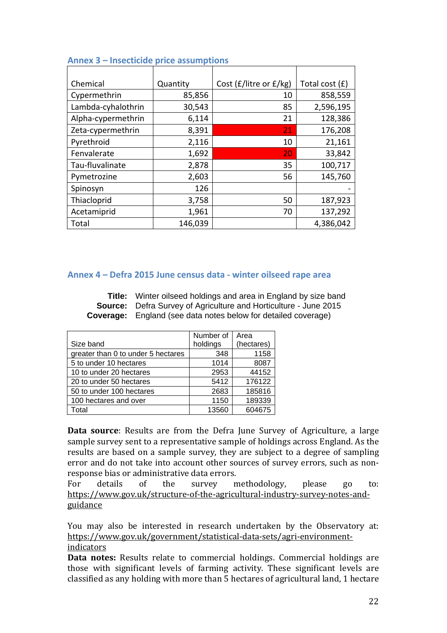| Chemical           | Quantity | Cost (£/litre or £/kg) | Total cost $(f)$ |
|--------------------|----------|------------------------|------------------|
| Cypermethrin       | 85,856   | 10                     | 858,559          |
| Lambda-cyhalothrin | 30,543   | 85                     | 2,596,195        |
| Alpha-cypermethrin | 6,114    | 21                     | 128,386          |
| Zeta-cypermethrin  | 8,391    | 21                     | 176,208          |
| Pyrethroid         | 2,116    | 10                     | 21,161           |
| Fenvalerate        | 1,692    | 20                     | 33,842           |
| Tau-fluvalinate    | 2,878    | 35                     | 100,717          |
| Pymetrozine        | 2,603    | 56                     | 145,760          |
| Spinosyn           | 126      |                        |                  |
| Thiacloprid        | 3,758    | 50                     | 187,923          |
| Acetamiprid        | 1,961    | 70                     | 137,292          |
| Total              | 146,039  |                        | 4,386,042        |

### **Annex 3 – Insecticide price assumptions**

#### **Annex 4 – Defra 2015 June census data ‐ winter oilseed rape area**

**Title:** Winter oilseed holdings and area in England by size band **Source:** Defra Survey of Agriculture and Horticulture - June 2015 **Coverage:** England (see data notes below for detailed coverage)

|                                    | Number of | Area       |
|------------------------------------|-----------|------------|
| Size band                          | holdings  | (hectares) |
| greater than 0 to under 5 hectares | 348       | 1158       |
| 5 to under 10 hectares             | 1014      | 8087       |
| 10 to under 20 hectares            | 2953      | 44152      |
| 20 to under 50 hectares            | 5412      | 176122     |
| 50 to under 100 hectares           | 2683      | 185816     |
| 100 hectares and over              | 1150      | 189339     |
| Total                              | 13560     | 604675     |

**Data source**: Results are from the Defra June Survey of Agriculture, a large sample survey sent to a representative sample of holdings across England. As the results are based on a sample survey, they are subject to a degree of sampling error and do not take into account other sources of survey errors, such as nonresponse bias or administrative data errors.

For details of the survey methodology, please go to: https://www.gov.uk/structure-of-the-agricultural-industry-survey-notes-andguidance 

You may also be interested in research undertaken by the Observatory at: https://www.gov.uk/government/statistical‐data‐sets/agri‐environment‐ indicators 

**Data notes:** Results relate to commercial holdings. Commercial holdings are those with significant levels of farming activity. These significant levels are classified as any holding with more than 5 hectares of agricultural land, 1 hectare